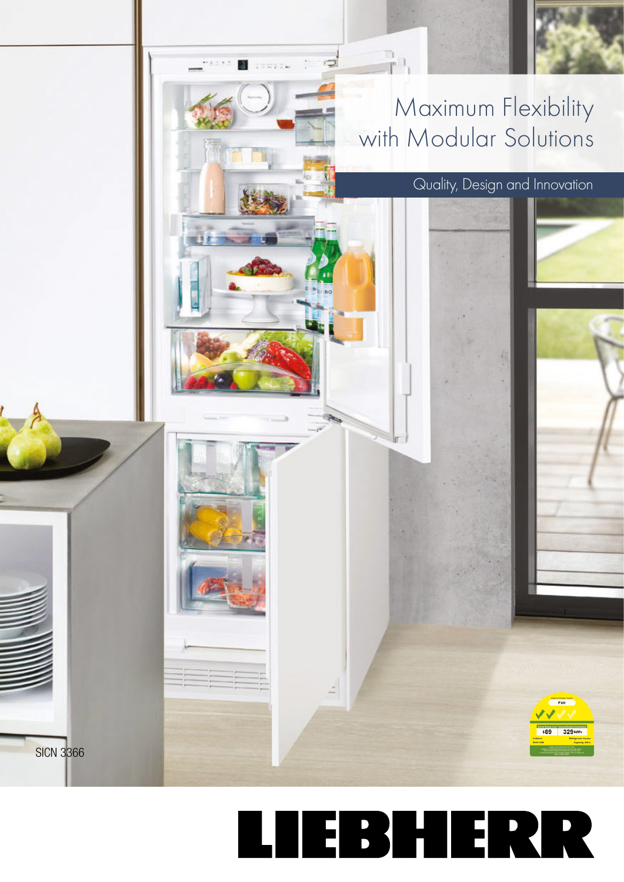

## LIEBHERR